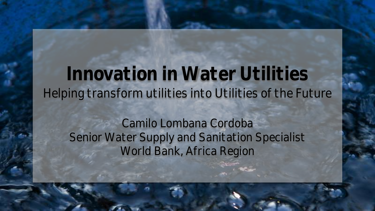# **Innovation in Water Utilities** Helping transform utilities into Utilities of the Future

### Camilo Lombana Cordoba Senior Water Supply and Sanitation Specialist World Bank, Africa Region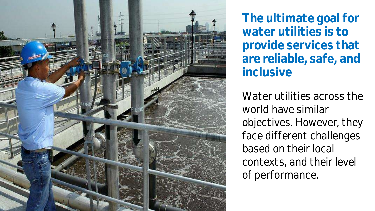

**The ultimate goal for water utilities is to provide services that are reliable, safe, and inclusive**

Water utilities across the world have similar objectives. However, they face different challenges based on their local contexts, and their level of performance.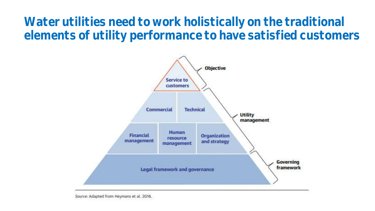**Water utilities need to work holistically on the traditional elements of utility performance to have satisfied customers**

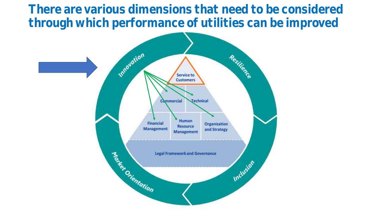**There are various dimensions that need to be considered through which performance of utilities can be improved** 

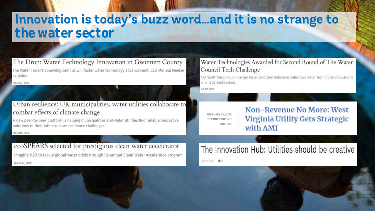## Innovation is today's buzz word ... and it is no strange to **the water sector**

The Drop: Water Technology Innovation in Gwinnett County The Water Tower's sprawling campus will foster water technology advancement. CEO Melissa Meeker explains.

Feb 10th, 2020

#### Urban resilience: UK municipalities, water utilities collaborate to combat effects of climate change

A new peer-to-peer platform is helping municipalities and water utilities find reliable innovative solutions to their infrastructure resilience challenges.

Jan 30th, 2020

#### ecoSPEARS selected for prestigious clean water accelerator

Imagine H2O to tackle global water crisis through its annual Clean Water Accelerator program. Jan 22nd, 2020

#### Water Technologies Awarded for Second Round of The Water Council Tech Challenge

A.O. Smith Corporation, Badger Meter, and Zurn Industries select two water technology innovations among 22 applications.

Feb 3rd, 2020

FEBRUARY 12, 2020 BY CONTRIBUTING **AUTHOR**  **Non-Revenue No More: West** Virginia Utility Gets Strategic with AMI

## The Innovation Hub: Utilities should be creative

Jan 27, 2020 0 0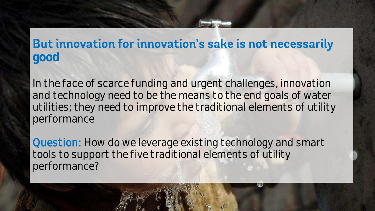### But innovation for innovation's sake is not necessarily **good**

In the face of scarce funding and urgent challenges, innovation and technology need to be the means to the end goals of water utilities; they need to improve the traditional elements of utility performance

Question: How do we leverage existing technology and smart tools to support the five traditional elements of utility performance?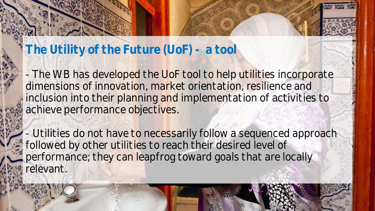#### **The Utility of the Future (UoF) - a tool**

- The WB has developed the UoF tool to help utilities incorporate dimensions of innovation, market orientation, resilience and inclusion into their planning and implementation of activities to achieve performance objectives.

- Utilities do not have to necessarily follow a sequenced approach followed by other utilities to reach their desired level of performance; they can leapfrog toward goals that are locally relevant.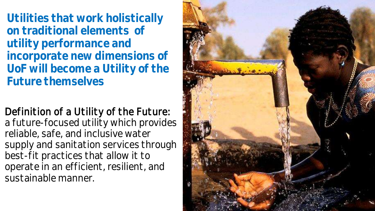**Utilities that work holistically on traditional elements of utility performance and incorporate new dimensions of UoF will become a Utility of the Future themselves** 

Definition of a Utility of the Future: a future-focused utility which provides reliable, safe, and inclusive water supply and sanitation services through best-fit practices that allow it to operate in an efficient, resilient, and sustainable manner.

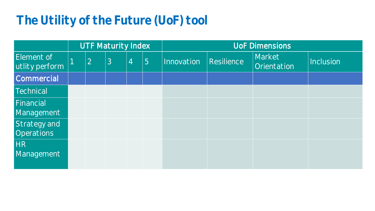## **The Utility of the Future (UoF) tool**

|                                   | <b>UTF Maturity Index</b> |   |                | <b>UoF Dimensions</b> |            |            |                       |           |
|-----------------------------------|---------------------------|---|----------------|-----------------------|------------|------------|-----------------------|-----------|
| Element of<br>utlity perform      | 2                         | 3 | $\overline{4}$ | 5                     | Innovation | Resilience | Market<br>Orientation | Inclusion |
| Commercial                        |                           |   |                |                       |            |            |                       |           |
| Technical                         |                           |   |                |                       |            |            |                       |           |
| Financial<br>Management           |                           |   |                |                       |            |            |                       |           |
| Strategy and<br><b>Operations</b> |                           |   |                |                       |            |            |                       |           |
| HR<br>Management                  |                           |   |                |                       |            |            |                       |           |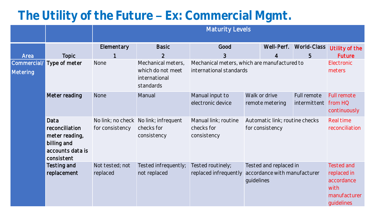## The Utility of the Future - Ex: Commercial Mgmt.

|                         |                                                                                           | <b>Maturity Levels</b>               |                                                                       |                                                                         |            |                                                        |                             |                                                                               |
|-------------------------|-------------------------------------------------------------------------------------------|--------------------------------------|-----------------------------------------------------------------------|-------------------------------------------------------------------------|------------|--------------------------------------------------------|-----------------------------|-------------------------------------------------------------------------------|
|                         |                                                                                           | Elementary                           | <b>Basic</b>                                                          | Good                                                                    |            | Well-Perf.                                             | World-Class                 | Utility of the                                                                |
| Area                    | <b>Topic</b>                                                                              |                                      | $\overline{2}$                                                        | 3                                                                       |            | $\overline{4}$                                         | 5                           | Future                                                                        |
| Commercial/<br>Metering | Type of meter                                                                             | None                                 | Mechanical meters,<br>which do not meet<br>international<br>standards | Mechanical meters, which are manufactured to<br>international standards |            |                                                        |                             | Electronic<br>meters                                                          |
|                         | Meter reading                                                                             | <b>None</b>                          | Manual                                                                | Manual input to<br>electronic device                                    |            | Walk or drive<br>remote metering                       | Full remote<br>intermittent | <b>Full remote</b><br>from HQ<br>continuously                                 |
|                         | Data<br>reconciliation<br>meter reading,<br>billing and<br>accounts data is<br>consistent | No link; no check<br>for consistency | No link; infrequent<br>checks for<br>consistency                      | Manual link; routine<br>checks for<br>consistency                       |            | Automatic link; routine checks<br>for consistency      |                             | Real time<br>reconciliation                                                   |
|                         | Testing and<br>replacement                                                                | Not tested; not<br>replaced          | Tested infrequently;<br>not replaced                                  | Tested routinely;<br>replaced infrequently                              | guidelines | Tested and replaced in<br>accordance with manufacturer |                             | Tested and<br>replaced in<br>accordance<br>with<br>manufacturer<br>guidelines |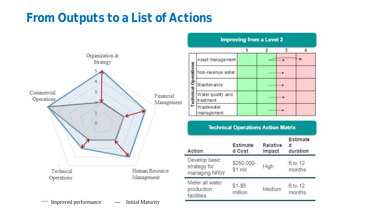## **From Outputs to a List of Actions**



| <b>Improving from a Level 2</b> |                                |  |               |   |  |  |
|---------------------------------|--------------------------------|--|---------------|---|--|--|
|                                 |                                |  | $\mathcal{L}$ | з |  |  |
|                                 | Asset management               |  |               |   |  |  |
| Operations                      | Non-revenue water              |  |               |   |  |  |
|                                 | Maintenance                    |  |               |   |  |  |
| <b>edinical</b>                 | Water quality and<br>treatment |  |               |   |  |  |
|                                 | Wastewater<br>management       |  |               |   |  |  |

| Action                                        | Estimate<br>d Cost    | Relative<br>Impact | Estimate<br>d<br>duration<br>6 to 12<br>months |  |
|-----------------------------------------------|-----------------------|--------------------|------------------------------------------------|--|
| Develop basic<br>strategy for<br>managing NRW | \$250,000-<br>\$1 mil | High               |                                                |  |
| Meter all water<br>production<br>facilities   | $$1 - $5$<br>million  | Medium             | 6 to 12<br>months                              |  |

**Technical Operations Action Matrix**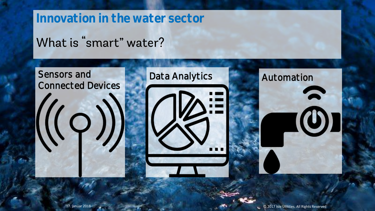#### **Innovation in the water sector**

## What is "smart" water?

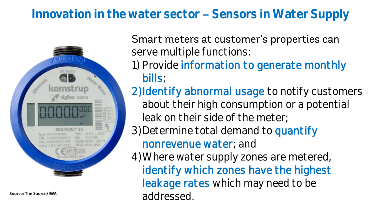## Innovation in the water sector - Sensors in Water Supply



#### Smart meters at customer's properties can serve multiple functions:

- 1) Provide information to generate monthly bills;
- 2) Identify abnormal usage to notify customers about their high consumption or a potential leak on their side of the meter;
- 3) Determine total demand to quantify nonrevenue water; and

4)Where water supply zones are metered, identify which zones have the highest leakage rates which may need to be Source: The Source/IWA<br>addressed.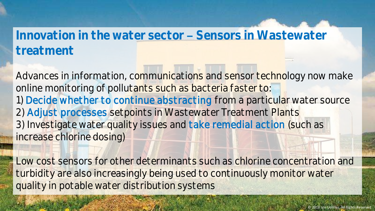### Innovation in the water sector - Sensors in Wastewater **treatment**

Advances in information, communications and sensor technology now make online monitoring of pollutants such as bacteria faster to: 1) Decide whether to continue abstracting from a particular water source 2) Adjust processes setpoints in Wastewater Treatment Plants 3) Investigate water quality issues and take remedial action (such as increase chlorine dosing)

Low cost sensors for other determinants such as chlorine concentration and turbidity are also increasingly being used to continuously monitor water quality in potable water distribution systems